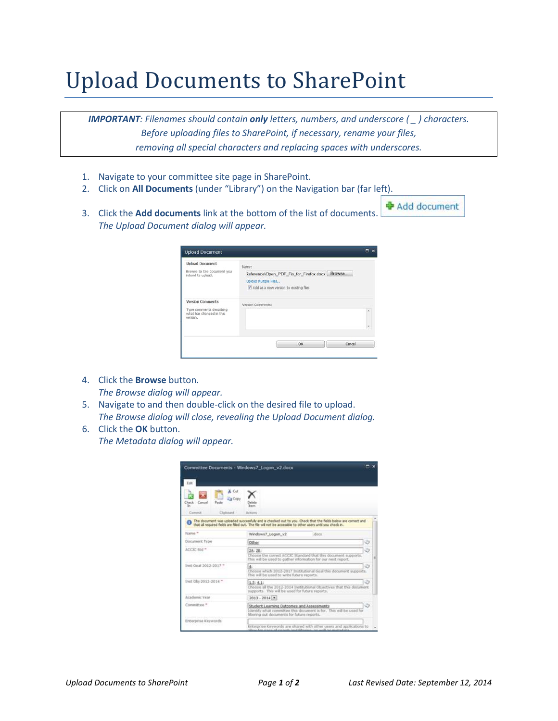## Upload Documents to SharePoint

*IMPORTANT: Filenames should contain only letters, numbers, and underscore ( \_ ) characters. Before uploading files to SharePoint, if necessary, rename your files, removing all special characters and replacing spaces with underscores.*

- 1. Navigate to your committee site page in SharePoint.
- 2. Click on **All Documents** (under "Library") on the Navigation bar (far left).
- 3. Click the **Add documents** link at the bottom of the list of documents. *The Upload Document dialog will appear.*

| <b>Upload Document</b>                                           | Name:                                                             |  |  |  |  |
|------------------------------------------------------------------|-------------------------------------------------------------------|--|--|--|--|
| Browse to the document you<br>intend to upload.                  | Reference\Open_PDF_Fix_for_Firefox.docx Browse.                   |  |  |  |  |
|                                                                  | Upload Multiple Files<br>V Add as a new version to existing files |  |  |  |  |
| <b>Version Comments</b>                                          | Version Comments:                                                 |  |  |  |  |
| Type comments describing<br>what has changed in this<br>version. |                                                                   |  |  |  |  |
|                                                                  |                                                                   |  |  |  |  |
|                                                                  | OK<br>Cancel                                                      |  |  |  |  |

- 4. Click the **Browse** button. *The Browse dialog will appear.*
- 5. Navigate to and then double-click on the desired file to upload. *The Browse dialog will close, revealing the Upload Document dialog.*
- 6. Click the **OK** button. *The Metadata dialog will appear.*

|                       |                        | Committee Documents - Windows7, Logon, v2.docx                                                                                                                                                                                                             |
|-----------------------|------------------------|------------------------------------------------------------------------------------------------------------------------------------------------------------------------------------------------------------------------------------------------------------|
| Edit                  |                        |                                                                                                                                                                                                                                                            |
| Check<br>Cancel<br>ь  | Cut<br>a Copy<br>Pacta | <b>Batter</b>                                                                                                                                                                                                                                              |
| Customat              | Clairmant              | Actions                                                                                                                                                                                                                                                    |
| Name *                |                        | The document was uploaded successfully and is checked out to you. Check that the fields below are correct and<br>that all required fields are filed out. The file will not be accessible to other users until you check in.<br>Windows7 Logon v2<br>: docu |
| <b>Document Type</b>  |                        | G<br>Other                                                                                                                                                                                                                                                 |
| ACCIC Std =           |                        | 2A: 2B:<br>Choose the correct ACCIC Standard that this document supports.<br>This will be used to gather information for our next report.                                                                                                                  |
| Inst Goal 2012-2017 * |                        | Ø<br>H.<br>Choose which 2012-2017 Institutional Goal this document supports.<br>This will be used to write future reports.                                                                                                                                 |
| Inst Obi 2012-2014 *  |                        | 1.5: 4.1:<br>Choose all the 2012-2014 Institutional Objectives that this document<br>supports. This will be used for future reports.                                                                                                                       |
| Arademic Year         |                        | $2013 - 2014$ .                                                                                                                                                                                                                                            |
| Committee."           |                        | Student Learning Outcomes and Assessments<br>Identify what committee this document is for. This will be used for<br>filtering out documents for future reports.                                                                                            |
| Enterprise Keywords   |                        |                                                                                                                                                                                                                                                            |
|                       |                        | Enterprise Keywords are shared with other users and applications to                                                                                                                                                                                        |

+ Add document